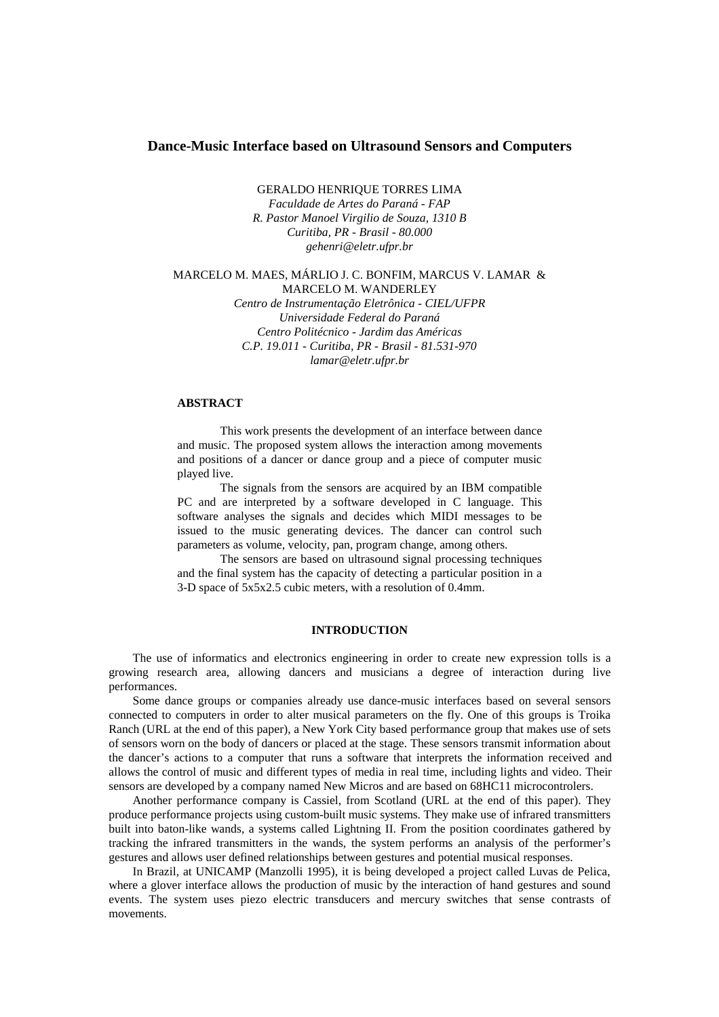## **Dance-Music Interface based on Ultrasound Sensors and Computers**

GERALDO HENRIQUE TORRES LIMA *Faculdade de Artes do Paraná - FAP R. Pastor Manoel Virgilio de Souza, 1310 B Curitiba, PR - Brasil - 80.000*

*gehenri@eletr.ufpr.br*

#### MARCELO M. MAES, MÁRLIO J. C. BONFIM, MARCUS V. LAMAR & MARCELO M. WANDERLEY

*Centro de Instrumentação Eletrônica - CIEL/UFPR Universidade Federal do Paraná Centro Politécnico - Jardim das Américas C.P. 19.011 - Curitiba, PR - Brasil - 81.531-970 lamar@eletr.ufpr.br*

# **ABSTRACT**

This work presents the development of an interface between dance and music. The proposed system allows the interaction among movements and positions of a dancer or dance group and a piece of computer music played live.

The signals from the sensors are acquired by an IBM compatible PC and are interpreted by a software developed in C language. This software analyses the signals and decides which MIDI messages to be issued to the music generating devices. The dancer can control such parameters as volume, velocity, pan, program change, among others.

The sensors are based on ultrasound signal processing techniques and the final system has the capacity of detecting a particular position in a 3-D space of 5x5x2.5 cubic meters, with a resolution of 0.4mm.

### **INTRODUCTION**

The use of informatics and electronics engineering in order to create new expression tolls is a growing research area, allowing dancers and musicians a degree of interaction during live performances.

Some dance groups or companies already use dance-music interfaces based on several sensors connected to computers in order to alter musical parameters on the fly. One of this groups is Troika Ranch (URL at the end of this paper), a New York City based performance group that makes use of sets of sensors worn on the body of dancers or placed at the stage. These sensors transmit information about the dancer's actions to a computer that runs a software that interprets the information received and allows the control of music and different types of media in real time, including lights and video. Their sensors are developed by a company named New Micros and are based on 68HC11 microcontrolers.

Another performance company is Cassiel, from Scotland (URL at the end of this paper). They produce performance projects using custom-built music systems. They make use of infrared transmitters built into baton-like wands, a systems called Lightning II. From the position coordinates gathered by tracking the infrared transmitters in the wands, the system performs an analysis of the performer's gestures and allows user defined relationships between gestures and potential musical responses.

In Brazil, at UNICAMP (Manzolli 1995), it is being developed a project called Luvas de Pelica, where a glover interface allows the production of music by the interaction of hand gestures and sound events. The system uses piezo electric transducers and mercury switches that sense contrasts of movements.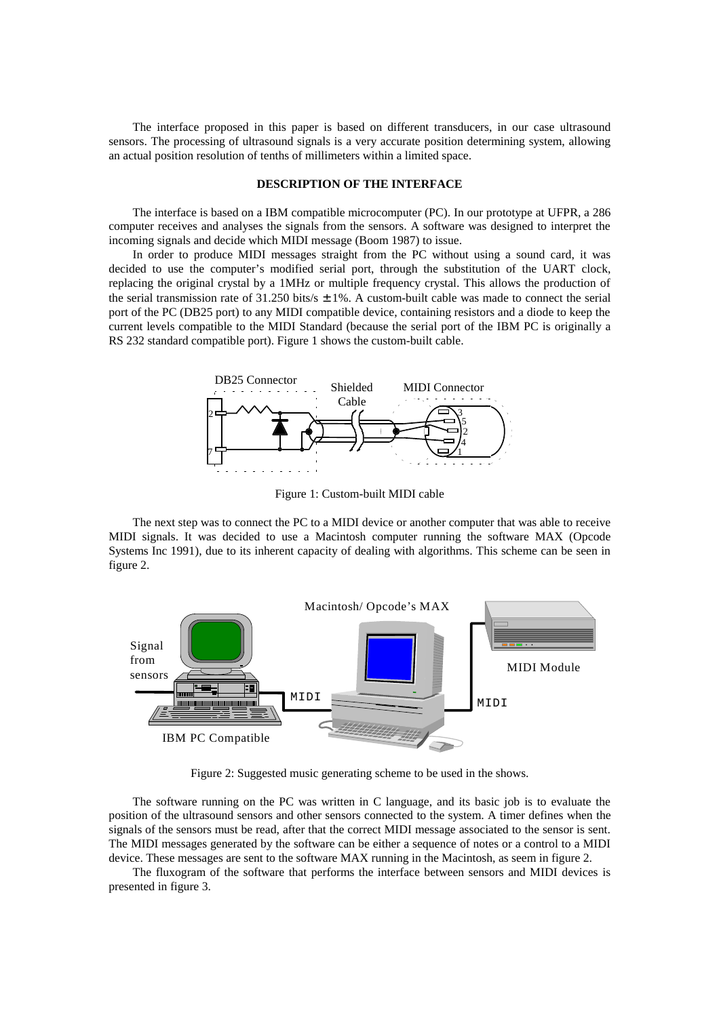The interface proposed in this paper is based on different transducers, in our case ultrasound sensors. The processing of ultrasound signals is a very accurate position determining system, allowing an actual position resolution of tenths of millimeters within a limited space.

#### **DESCRIPTION OF THE INTERFACE**

The interface is based on a IBM compatible microcomputer (PC). In our prototype at UFPR, a 286 computer receives and analyses the signals from the sensors. A software was designed to interpret the incoming signals and decide which MIDI message (Boom 1987) to issue.

In order to produce MIDI messages straight from the PC without using a sound card, it was decided to use the computer's modified serial port, through the substitution of the UART clock, replacing the original crystal by a 1MHz or multiple frequency crystal. This allows the production of the serial transmission rate of 31.250 bits/s  $\pm$  1%. A custom-built cable was made to connect the serial port of the PC (DB25 port) to any MIDI compatible device, containing resistors and a diode to keep the current levels compatible to the MIDI Standard (because the serial port of the IBM PC is originally a RS 232 standard compatible port). Figure 1 shows the custom-built cable.



Figure 1: Custom-built MIDI cable

The next step was to connect the PC to a MIDI device or another computer that was able to receive MIDI signals. It was decided to use a Macintosh computer running the software MAX (Opcode Systems Inc 1991), due to its inherent capacity of dealing with algorithms. This scheme can be seen in figure 2.



Figure 2: Suggested music generating scheme to be used in the shows.

The software running on the PC was written in C language, and its basic job is to evaluate the position of the ultrasound sensors and other sensors connected to the system. A timer defines when the signals of the sensors must be read, after that the correct MIDI message associated to the sensor is sent. The MIDI messages generated by the software can be either a sequence of notes or a control to a MIDI device. These messages are sent to the software MAX running in the Macintosh, as seem in figure 2.

The fluxogram of the software that performs the interface between sensors and MIDI devices is presented in figure 3.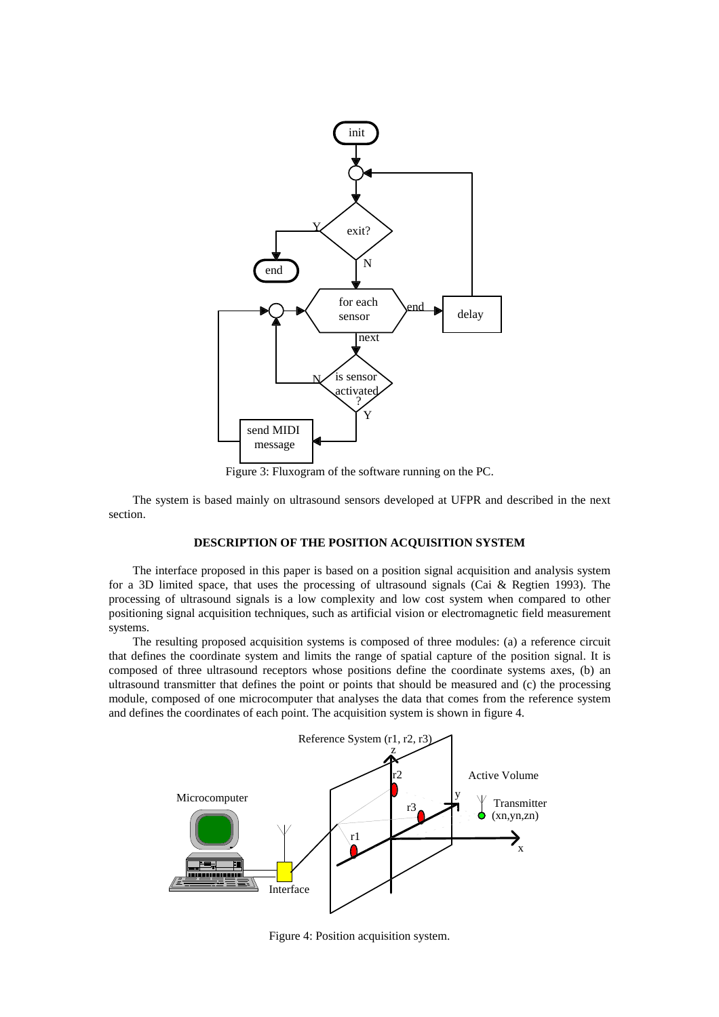

Figure 3: Fluxogram of the software running on the PC.

The system is based mainly on ultrasound sensors developed at UFPR and described in the next section.

### **DESCRIPTION OF THE POSITION ACQUISITION SYSTEM**

The interface proposed in this paper is based on a position signal acquisition and analysis system for a 3D limited space, that uses the processing of ultrasound signals (Cai & Regtien 1993). The processing of ultrasound signals is a low complexity and low cost system when compared to other positioning signal acquisition techniques, such as artificial vision or electromagnetic field measurement systems.

The resulting proposed acquisition systems is composed of three modules: (a) a reference circuit that defines the coordinate system and limits the range of spatial capture of the position signal. It is composed of three ultrasound receptors whose positions define the coordinate systems axes, (b) an ultrasound transmitter that defines the point or points that should be measured and (c) the processing module, composed of one microcomputer that analyses the data that comes from the reference system and defines the coordinates of each point. The acquisition system is shown in figure 4.



Figure 4: Position acquisition system.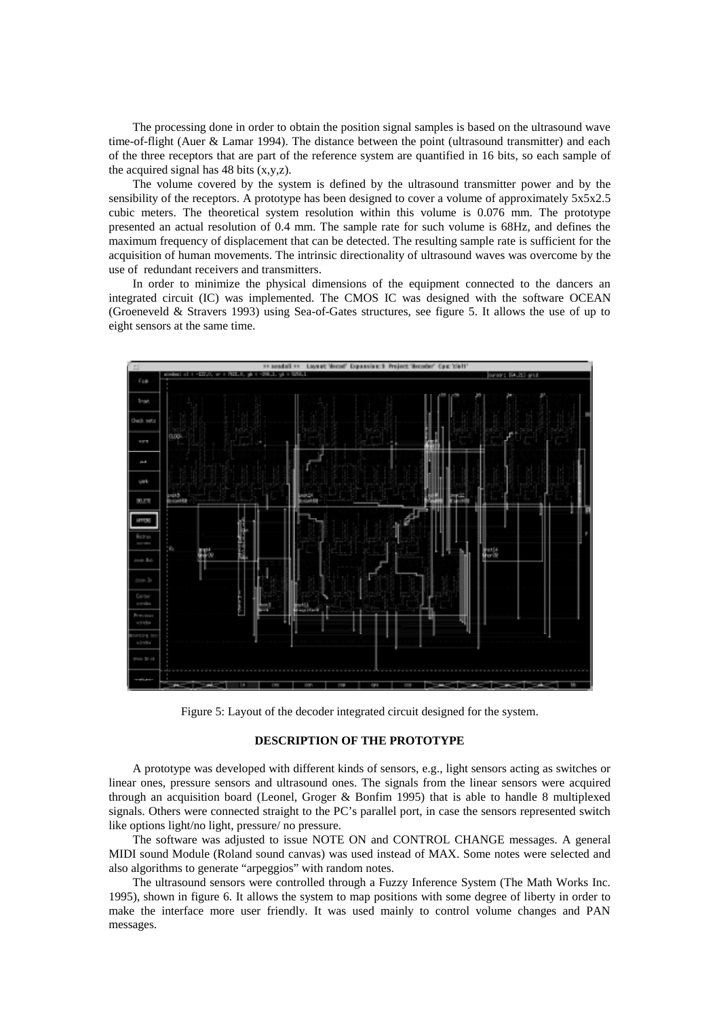The processing done in order to obtain the position signal samples is based on the ultrasound wave time-of-flight (Auer & Lamar 1994). The distance between the point (ultrasound transmitter) and each of the three receptors that are part of the reference system are quantified in 16 bits, so each sample of the acquired signal has  $48$  bits  $(x,y,z)$ .

The volume covered by the system is defined by the ultrasound transmitter power and by the sensibility of the receptors. A prototype has been designed to cover a volume of approximately 5x5x2.5 cubic meters. The theoretical system resolution within this volume is 0.076 mm. The prototype presented an actual resolution of 0.4 mm. The sample rate for such volume is 68Hz, and defines the maximum frequency of displacement that can be detected. The resulting sample rate is sufficient for the acquisition of human movements. The intrinsic directionality of ultrasound waves was overcome by the use of redundant receivers and transmitters.

In order to minimize the physical dimensions of the equipment connected to the dancers an integrated circuit (IC) was implemented. The CMOS IC was designed with the software OCEAN (Groeneveld & Stravers 1993) using Sea-of-Gates structures, see figure 5. It allows the use of up to eight sensors at the same time.



Figure 5: Layout of the decoder integrated circuit designed for the system.

#### **DESCRIPTION OF THE PROTOTYPE**

A prototype was developed with different kinds of sensors, e.g., light sensors acting as switches or linear ones, pressure sensors and ultrasound ones. The signals from the linear sensors were acquired through an acquisition board (Leonel, Groger & Bonfim 1995) that is able to handle 8 multiplexed signals. Others were connected straight to the PC's parallel port, in case the sensors represented switch like options light/no light, pressure/ no pressure.

The software was adjusted to issue NOTE ON and CONTROL CHANGE messages. A general MIDI sound Module (Roland sound canvas) was used instead of MAX. Some notes were selected and also algorithms to generate "arpeggios" with random notes.

The ultrasound sensors were controlled through a Fuzzy Inference System (The Math Works Inc. 1995), shown in figure 6. It allows the system to map positions with some degree of liberty in order to make the interface more user friendly. It was used mainly to control volume changes and PAN messages.